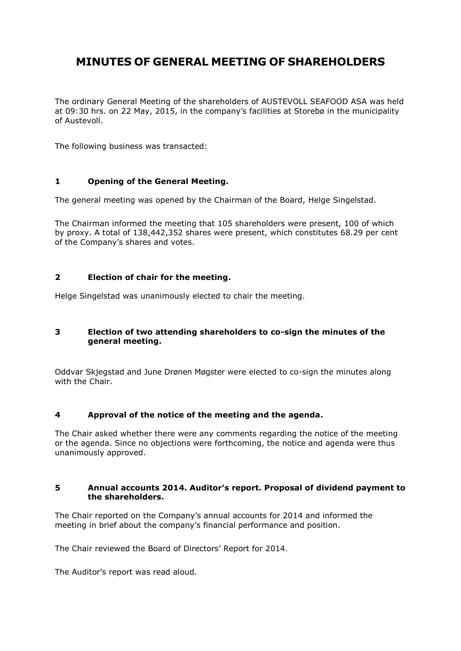# **MINUTES OF GENERAL MEETING OF SHAREHOLDERS**

The ordinary General Meeting of the shareholders of AUSTEVOLL SEAFOOD ASA was held at 09:30 hrs. on 22 May, 2015, in the company's facilities at Storebø in the municipality of Austevoll.

The following business was transacted:

# **1 Opening of the General Meeting.**

The general meeting was opened by the Chairman of the Board, Helge Singelstad.

The Chairman informed the meeting that 105 shareholders were present, 100 of which by proxy. A total of 138,442,352 shares were present, which constitutes 68.29 per cent of the Company's shares and votes.

# **2 Election of chair for the meeting.**

Helge Singelstad was unanimously elected to chair the meeting.

# **3 Election of two attending shareholders to co-sign the minutes of the general meeting.**

Oddvar Skjegstad and June Drønen Møgster were elected to co-sign the minutes along with the Chair.

# **4 Approval of the notice of the meeting and the agenda.**

The Chair asked whether there were any comments regarding the notice of the meeting or the agenda. Since no objections were forthcoming, the notice and agenda were thus unanimously approved.

#### **5 Annual accounts 2014. Auditor's report. Proposal of dividend payment to the shareholders.**

The Chair reported on the Company's annual accounts for 2014 and informed the meeting in brief about the company's financial performance and position.

The Chair reviewed the Board of Directors' Report for 2014.

The Auditor's report was read aloud.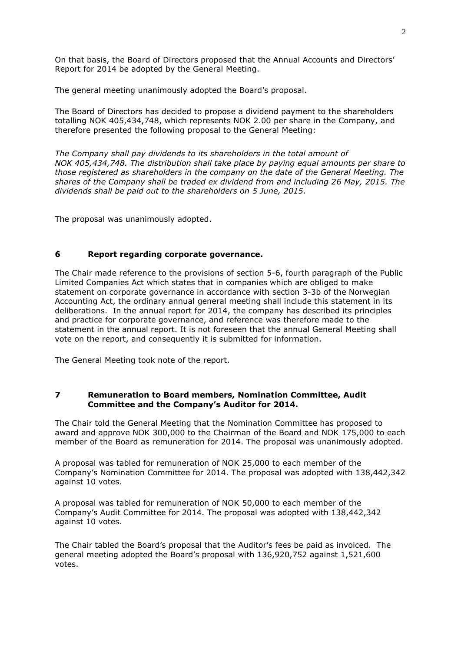On that basis, the Board of Directors proposed that the Annual Accounts and Directors' Report for 2014 be adopted by the General Meeting.

The general meeting unanimously adopted the Board's proposal.

The Board of Directors has decided to propose a dividend payment to the shareholders totalling NOK 405,434,748, which represents NOK 2.00 per share in the Company, and therefore presented the following proposal to the General Meeting:

*The Company shall pay dividends to its shareholders in the total amount of NOK 405,434,748. The distribution shall take place by paying equal amounts per share to those registered as shareholders in the company on the date of the General Meeting. The shares of the Company shall be traded ex dividend from and including 26 May, 2015. The dividends shall be paid out to the shareholders on 5 June, 2015.* 

The proposal was unanimously adopted.

#### **6 Report regarding corporate governance.**

The Chair made reference to the provisions of section 5-6, fourth paragraph of the Public Limited Companies Act which states that in companies which are obliged to make statement on corporate governance in accordance with section 3-3b of the Norwegian Accounting Act, the ordinary annual general meeting shall include this statement in its deliberations. In the annual report for 2014, the company has described its principles and practice for corporate governance, and reference was therefore made to the statement in the annual report. It is not foreseen that the annual General Meeting shall vote on the report, and consequently it is submitted for information.

The General Meeting took note of the report.

#### **7 Remuneration to Board members, Nomination Committee, Audit Committee and the Company's Auditor for 2014.**

The Chair told the General Meeting that the Nomination Committee has proposed to award and approve NOK 300,000 to the Chairman of the Board and NOK 175,000 to each member of the Board as remuneration for 2014. The proposal was unanimously adopted.

A proposal was tabled for remuneration of NOK 25,000 to each member of the Company's Nomination Committee for 2014. The proposal was adopted with 138,442,342 against 10 votes.

A proposal was tabled for remuneration of NOK 50,000 to each member of the Company's Audit Committee for 2014. The proposal was adopted with 138,442,342 against 10 votes.

The Chair tabled the Board's proposal that the Auditor's fees be paid as invoiced. The general meeting adopted the Board's proposal with 136,920,752 against 1,521,600 votes.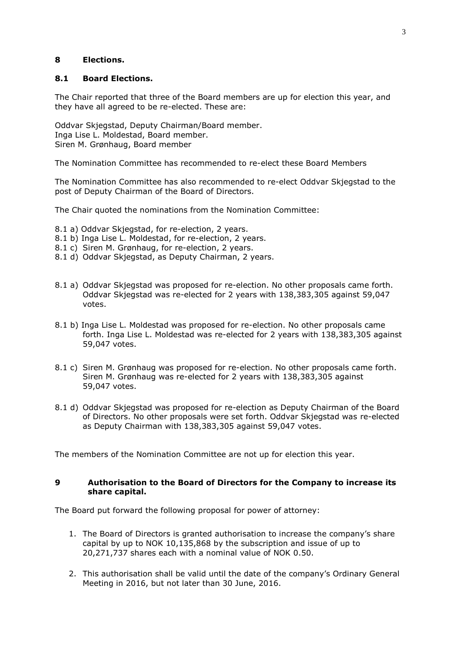#### **8 Elections.**

#### **8.1 Board Elections.**

The Chair reported that three of the Board members are up for election this year, and they have all agreed to be re-elected. These are:

Oddvar Skjegstad, Deputy Chairman/Board member. Inga Lise L. Moldestad, Board member. Siren M. Grønhaug, Board member

The Nomination Committee has recommended to re-elect these Board Members

The Nomination Committee has also recommended to re-elect Oddvar Skjegstad to the post of Deputy Chairman of the Board of Directors.

The Chair quoted the nominations from the Nomination Committee:

- 8.1 a) Oddvar Skjegstad, for re-election, 2 years.
- 8.1 b) Inga Lise L. Moldestad, for re-election, 2 years.
- 8.1 c) Siren M. Grønhaug, for re-election, 2 years.
- 8.1 d) Oddvar Skjegstad, as Deputy Chairman, 2 years.
- 8.1 a) Oddvar Skjegstad was proposed for re-election. No other proposals came forth. Oddvar Skjegstad was re-elected for 2 years with 138,383,305 against 59,047 votes.
- 8.1 b) Inga Lise L. Moldestad was proposed for re-election. No other proposals came forth. Inga Lise L. Moldestad was re-elected for 2 years with 138,383,305 against 59,047 votes.
- 8.1 c) Siren M. Grønhaug was proposed for re-election. No other proposals came forth. Siren M. Grønhaug was re-elected for 2 years with 138,383,305 against 59,047 votes.
- 8.1 d) Oddvar Skjegstad was proposed for re-election as Deputy Chairman of the Board of Directors. No other proposals were set forth. Oddvar Skjegstad was re-elected as Deputy Chairman with 138,383,305 against 59,047 votes.

The members of the Nomination Committee are not up for election this year.

#### **9 Authorisation to the Board of Directors for the Company to increase its share capital.**

The Board put forward the following proposal for power of attorney:

- 1. The Board of Directors is granted authorisation to increase the company's share capital by up to NOK 10,135,868 by the subscription and issue of up to 20,271,737 shares each with a nominal value of NOK 0.50.
- 2. This authorisation shall be valid until the date of the company's Ordinary General Meeting in 2016, but not later than 30 June, 2016.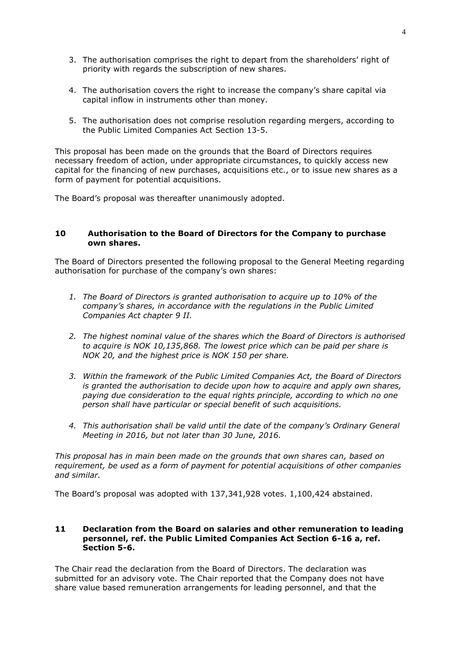- 3. The authorisation comprises the right to depart from the shareholders' right of priority with regards the subscription of new shares.
- 4. The authorisation covers the right to increase the company's share capital via capital inflow in instruments other than money.
- 5. The authorisation does not comprise resolution regarding mergers, according to the Public Limited Companies Act Section 13-5.

This proposal has been made on the grounds that the Board of Directors requires necessary freedom of action, under appropriate circumstances, to quickly access new capital for the financing of new purchases, acquisitions etc., or to issue new shares as a form of payment for potential acquisitions.

The Board's proposal was thereafter unanimously adopted.

#### **10 Authorisation to the Board of Directors for the Company to purchase own shares.**

The Board of Directors presented the following proposal to the General Meeting regarding authorisation for purchase of the company's own shares:

- *1. The Board of Directors is granted authorisation to acquire up to 10% of the company's shares, in accordance with the regulations in the Public Limited Companies Act chapter 9 II.*
- *2. The highest nominal value of the shares which the Board of Directors is authorised to acquire is NOK 10,135,868. The lowest price which can be paid per share is NOK 20, and the highest price is NOK 150 per share.*
- *3. Within the framework of the Public Limited Companies Act, the Board of Directors is granted the authorisation to decide upon how to acquire and apply own shares, paying due consideration to the equal rights principle, according to which no one person shall have particular or special benefit of such acquisitions.*
- *4. This authorisation shall be valid until the date of the company's Ordinary General Meeting in 2016, but not later than 30 June, 2016.*

*This proposal has in main been made on the grounds that own shares can, based on requirement, be used as a form of payment for potential acquisitions of other companies and similar.*

The Board's proposal was adopted with 137,341,928 votes. 1,100,424 abstained.

### **11 Declaration from the Board on salaries and other remuneration to leading personnel, ref. the Public Limited Companies Act Section 6-16 a, ref. Section 5-6.**

The Chair read the declaration from the Board of Directors. The declaration was submitted for an advisory vote. The Chair reported that the Company does not have share value based remuneration arrangements for leading personnel, and that the